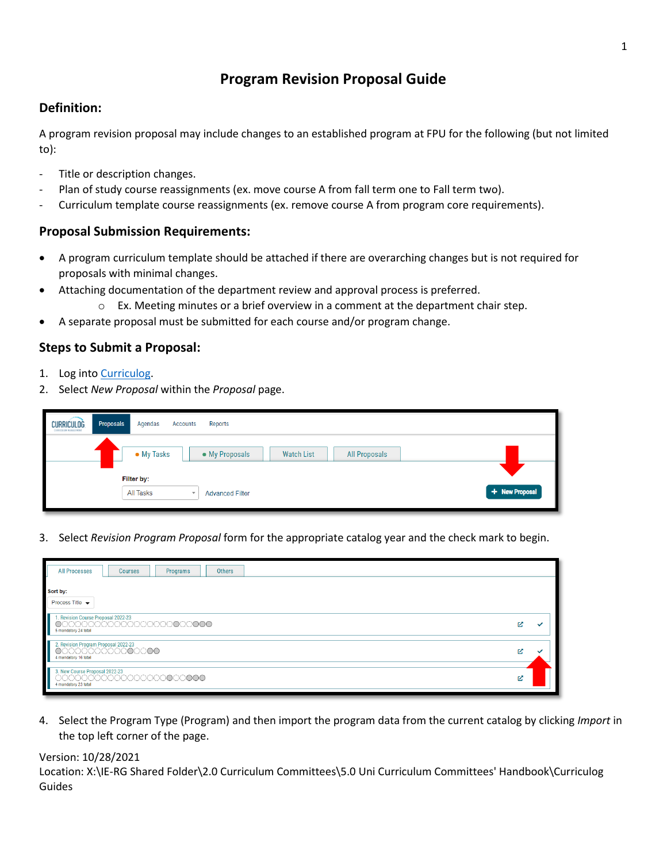# **Program Revision Proposal Guide**

# **Definition:**

A program revision proposal may include changes to an established program at FPU for the following (but not limited to):

- Title or description changes.
- Plan of study course reassignments (ex. move course A from fall term one to Fall term two).
- Curriculum template course reassignments (ex. remove course A from program core requirements).

### **Proposal Submission Requirements:**

- A program curriculum template should be attached if there are overarching changes but is not required for proposals with minimal changes.
- Attaching documentation of the department review and approval process is preferred.
	- $\circ$  Ex. Meeting minutes or a brief overview in a comment at the department chair step.
- A separate proposal must be submitted for each course and/or program change.

## **Steps to Submit a Proposal:**

- 1. Log into [Curriculog.](https://floridapolytechnic.curriculog.com/)
- 2. Select *New Proposal* within the *Proposal* page.

| <b>CURRICULOG</b><br>CORRICOLUM MANAGEMENT | Proposals | Agendas<br><b>Accounts</b>          | Reports                                              |                |
|--------------------------------------------|-----------|-------------------------------------|------------------------------------------------------|----------------|
|                                            |           | • My Tasks                          | • My Proposals<br><b>Watch List</b><br>All Proposals |                |
|                                            |           | Filter by:                          |                                                      |                |
|                                            |           | All Tasks<br>$\overline{\mathbf v}$ | <b>Advanced Filter</b>                               | + New Proposal |

3. Select *Revision Program Proposal* form for the appropriate catalog year and the check mark to begin.

| <b>All Processes</b><br>Others<br><b>Courses</b><br>Programs                            |     |  |
|-----------------------------------------------------------------------------------------|-----|--|
| Sort by:<br>Process Title $\blacktriangleright$                                         |     |  |
| 1. Revision Course Proposal 2022-23<br>5 mandatory 24 total                             | r.  |  |
| 2. Revision Program Proposal 2022-23<br>00000000000000000<br>4 mandatory 16 total       | ΓZ. |  |
| 3. New Course Proposal 2022-23<br>○○○○○○○○○○○○○○○○○○○○○○○○○○○○○<br>4 mandatory 23 total | ſZ, |  |

4. Select the Program Type (Program) and then import the program data from the current catalog by clicking *Import* in the top left corner of the page.

#### Version: 10/28/2021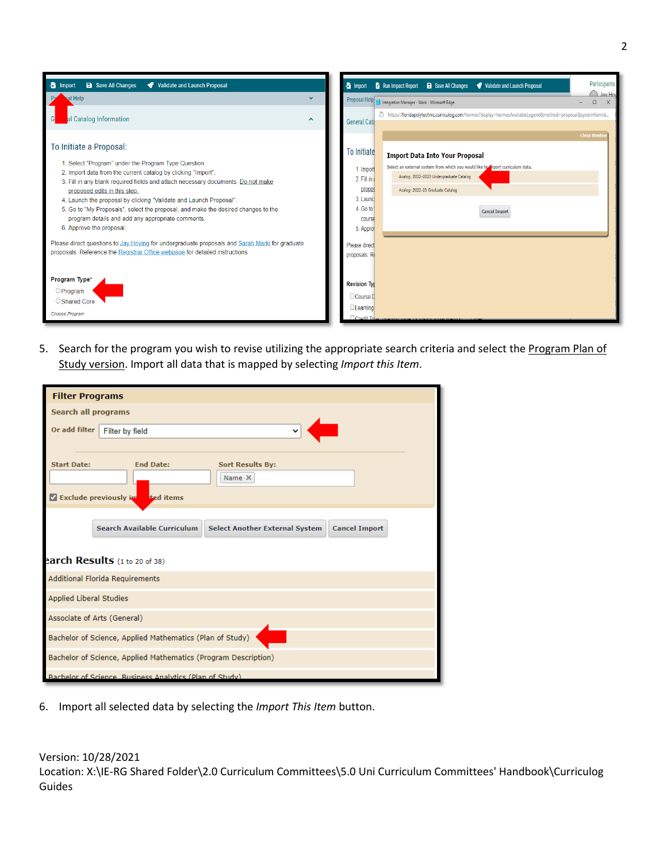

5. Search for the program you wish to revise utilizing the appropriate search criteria and select the Program Plan of Study version. Import all data that is mapped by selecting *Import this Item*.

| <b>Filter Programs</b>                                         |                                                                                                     |  |  |  |  |
|----------------------------------------------------------------|-----------------------------------------------------------------------------------------------------|--|--|--|--|
| Search all programs                                            |                                                                                                     |  |  |  |  |
| Or add filter                                                  | $\check{ }$<br>Filter by field                                                                      |  |  |  |  |
|                                                                |                                                                                                     |  |  |  |  |
| <b>Start Date:</b>                                             | <b>Sort Results By:</b><br><b>End Date:</b>                                                         |  |  |  |  |
|                                                                | Name X                                                                                              |  |  |  |  |
| Exclude previously in                                          | ted items                                                                                           |  |  |  |  |
|                                                                |                                                                                                     |  |  |  |  |
|                                                                | <b>Search Available Curriculum</b><br><b>Select Another External System</b><br><b>Cancel Import</b> |  |  |  |  |
|                                                                | earch Results (1 to 20 of 38)                                                                       |  |  |  |  |
|                                                                | Additional Florida Requirements                                                                     |  |  |  |  |
| <b>Applied Liberal Studies</b>                                 |                                                                                                     |  |  |  |  |
| Associate of Arts (General)                                    |                                                                                                     |  |  |  |  |
| Bachelor of Science, Applied Mathematics (Plan of Study)       |                                                                                                     |  |  |  |  |
| Bachelor of Science, Applied Mathematics (Program Description) |                                                                                                     |  |  |  |  |
|                                                                | Rachelor of Science, Business Analytics (Plan of Study)                                             |  |  |  |  |

6. Import all selected data by selecting the *Import This Item* button.

Version: 10/28/2021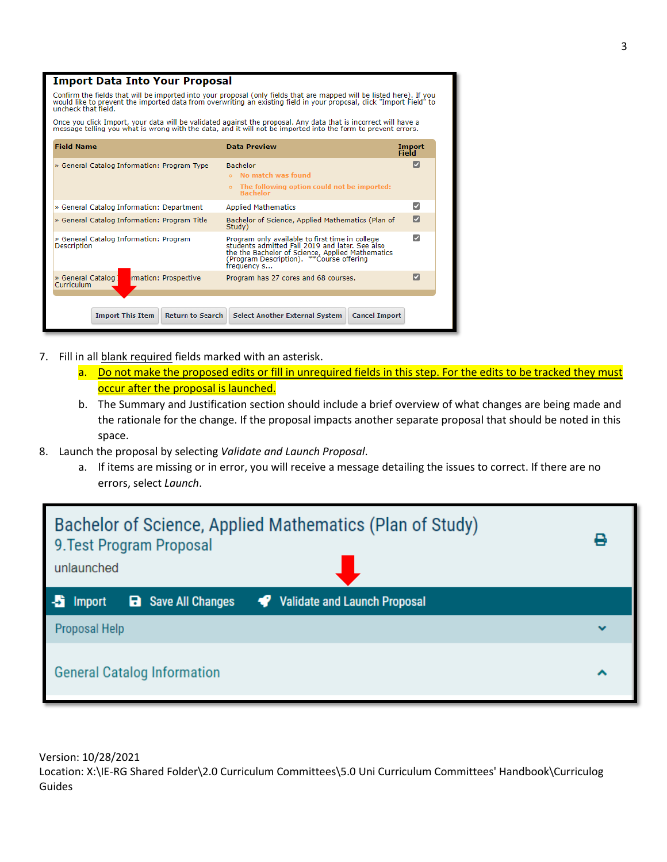|                                                                                                                                                                                                                                                                      | <b>Import Data Into Your Proposal</b>                                                                                                                                                                                            |                        |  |  |  |  |  |
|----------------------------------------------------------------------------------------------------------------------------------------------------------------------------------------------------------------------------------------------------------------------|----------------------------------------------------------------------------------------------------------------------------------------------------------------------------------------------------------------------------------|------------------------|--|--|--|--|--|
| Confirm the fields that will be imported into your proposal (only fields that are mapped will be listed here). If you<br>would like to prevent the imported data from overwriting an existing field in your proposal, click "Import Field" to<br>uncheck that field. |                                                                                                                                                                                                                                  |                        |  |  |  |  |  |
|                                                                                                                                                                                                                                                                      | Once you click Import, your data will be validated against the proposal. Any data that is incorrect will have a<br>message telling you what is wrong with the data, and it will not be imported into the form to prevent errors. |                        |  |  |  |  |  |
| <b>Field Name</b>                                                                                                                                                                                                                                                    | <b>Data Preview</b>                                                                                                                                                                                                              | <b>Import</b><br>Field |  |  |  |  |  |
| » General Catalog Information: Program Type                                                                                                                                                                                                                          | <b>Bachelor</b><br>No match was found<br>The following option could not be imported:<br>$\circ$<br><b>Bachelor</b>                                                                                                               | М                      |  |  |  |  |  |
| » General Catalog Information: Department                                                                                                                                                                                                                            | <b>Applied Mathematics</b>                                                                                                                                                                                                       | ⊽                      |  |  |  |  |  |
| » General Catalog Information: Program Title                                                                                                                                                                                                                         | Bachelor of Science, Applied Mathematics (Plan of<br>Study)                                                                                                                                                                      | M                      |  |  |  |  |  |
| » General Catalog Information: Program<br><b>Description</b>                                                                                                                                                                                                         | Program only available to first time in college<br>students admitted Fall 2019 and later. See also<br>the the Bachelor of Science, Applied Mathematics<br>Program Description), **Course offering<br>frequency s                 | м                      |  |  |  |  |  |
| » General Catalog<br>rmation: Prospective<br>Curriculum                                                                                                                                                                                                              | Program has 27 cores and 68 courses.                                                                                                                                                                                             | M                      |  |  |  |  |  |
|                                                                                                                                                                                                                                                                      |                                                                                                                                                                                                                                  |                        |  |  |  |  |  |
| <b>Import This Item</b><br><b>Return to Search</b>                                                                                                                                                                                                                   | <b>Select Another External System</b><br><b>Cancel Import</b>                                                                                                                                                                    |                        |  |  |  |  |  |

- 7. Fill in all blank required fields marked with an asterisk.
	- a. Do not make the proposed edits or fill in unrequired fields in this step. For the edits to be tracked they must occur after the proposal is launched.
	- b. The Summary and Justification section should include a brief overview of what changes are being made and the rationale for the change. If the proposal impacts another separate proposal that should be noted in this space.
- 8. Launch the proposal by selecting *Validate and Launch Proposal*.
	- a. If items are missing or in error, you will receive a message detailing the issues to correct. If there are no errors, select *Launch*.

| Bachelor of Science, Applied Mathematics (Plan of Study)<br>9. Test Program Proposal<br>unlaunched |              |
|----------------------------------------------------------------------------------------------------|--------------|
| Validate and Launch Proposal<br><b>a</b> Save All Changes<br>Import                                |              |
| Proposal Help                                                                                      | $\checkmark$ |
| <b>General Catalog Information</b>                                                                 |              |

Version: 10/28/2021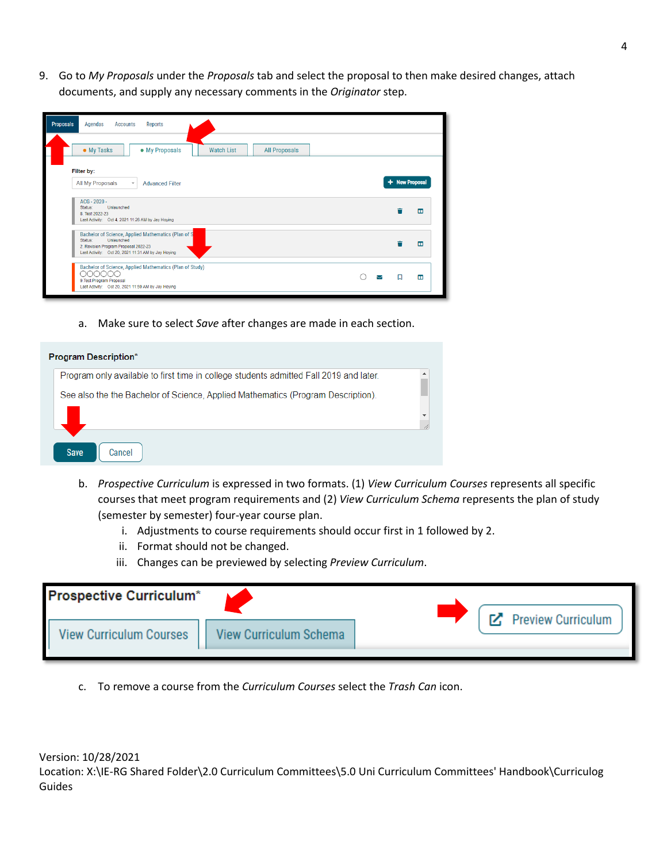9. Go to *My Proposals* under the *Proposals* tab and select the proposal to then make desired changes, attach documents, and supply any necessary comments in the *Originator* step.

| <b>Proposals</b><br>Reports<br>Agendas<br><b>Accounts</b>                                                                                                                  |   |                |                |
|----------------------------------------------------------------------------------------------------------------------------------------------------------------------------|---|----------------|----------------|
| • My Tasks<br>• My Proposals<br><b>Watch List</b><br><b>All Proposals</b>                                                                                                  |   |                |                |
| Filter by:<br>All My Proposals<br><b>Advanced Filter</b><br>$\overline{\phantom{a}}$                                                                                       |   | + New Proposal |                |
| ACG - 2020 -<br>Status:<br>Unlaunched<br>8. Test 2022-23<br>Last Activity: Oct 4, 2021 11:26 AM by Jay Hoying                                                              |   |                | $\Box$         |
| Bachelor of Science, Applied Mathematics (Plan of S<br>Unlaunched<br>Status:<br>2. Revision Program Proposal 2022-23<br>Last Activity: Oct 20, 2021 11:31 AM by Jay Hoying |   |                | ш              |
| Bachelor of Science, Applied Mathematics (Plan of Study)<br>AAAAAA<br>9. Test Program Proposal<br>Last Activity: Oct 20, 2021 11:59 AM by Jay Hoying                       | ▽ | 口              | $\blacksquare$ |

a. Make sure to select *Save* after changes are made in each section.

| <b>Program Description*</b>                                                            |  |
|----------------------------------------------------------------------------------------|--|
| Program only available to first time in college students admitted Fall 2019 and later. |  |
| See also the the Bachelor of Science, Applied Mathematics (Program Description).       |  |
|                                                                                        |  |
| <b>Save</b><br>Cancel                                                                  |  |

- b. *Prospective Curriculum* is expressed in two formats. (1) *View Curriculum Courses* represents all specific courses that meet program requirements and (2) *View Curriculum Schema* represents the plan of study (semester by semester) four-year course plan.
	- i. Adjustments to course requirements should occur first in 1 followed by 2.
	- ii. Format should not be changed.
	- iii. Changes can be previewed by selecting *Preview Curriculum*.

| <b>Prospective Curriculum*</b> |                               | <b>M</b> Preview Curriculum |
|--------------------------------|-------------------------------|-----------------------------|
| <b>View Curriculum Courses</b> | <b>View Curriculum Schema</b> |                             |

c. To remove a course from the *Curriculum Courses* select the *Trash Can* icon.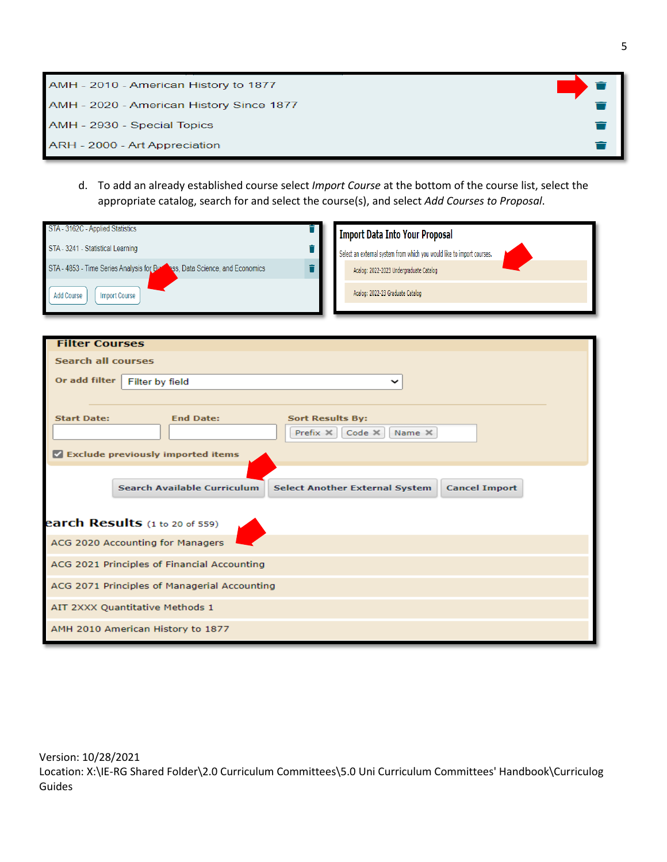| AMH - 2010 - American History to 1877    |  |
|------------------------------------------|--|
| AMH - 2020 - American History Since 1877 |  |
| AMH - 2930 - Special Topics              |  |
| ARH - 2000 - Art Appreciation            |  |

d. To add an already established course select *Import Course* at the bottom of the course list, select the appropriate catalog, search for and select the course(s), and select *Add Courses to Proposal*.

| STA - 3162C - Applied Statistics             | î                                                                                 | <b>Import Data Into Your Proposal</b>                                  |  |  |
|----------------------------------------------|-----------------------------------------------------------------------------------|------------------------------------------------------------------------|--|--|
| STA - 3241 - Statistical Learning            | î                                                                                 | Select an external system from which you would like to import courses. |  |  |
|                                              | STA - 4853 - Time Series Analysis for Burningss, Data Science, and Economics<br>Ť | Acalog: 2022-2023 Undergraduate Catalog                                |  |  |
| <b>Add Course</b>                            | <b>Import Course</b>                                                              | Acalog: 2022-23 Graduate Catalog                                       |  |  |
| <b>Filter Courses</b>                        |                                                                                   |                                                                        |  |  |
| <b>Search all courses</b>                    |                                                                                   |                                                                        |  |  |
| Or add filter                                | Filter by field                                                                   | $\check{ }$                                                            |  |  |
|                                              |                                                                                   |                                                                        |  |  |
| <b>Start Date:</b>                           | <b>End Date:</b><br><b>Sort Results By:</b>                                       |                                                                        |  |  |
|                                              | Prefix $\times$                                                                   | $Code \timesName X$                                                    |  |  |
|                                              | Exclude previously imported items                                                 |                                                                        |  |  |
|                                              | Search Available Curriculum                                                       | <b>Select Another External System</b><br><b>Cancel Import</b>          |  |  |
|                                              | earch Results (1 to 20 of 559)                                                    |                                                                        |  |  |
|                                              | ACG 2020 Accounting for Managers                                                  |                                                                        |  |  |
| ACG 2021 Principles of Financial Accounting  |                                                                                   |                                                                        |  |  |
| ACG 2071 Principles of Managerial Accounting |                                                                                   |                                                                        |  |  |
|                                              | AIT 2XXX Quantitative Methods 1                                                   |                                                                        |  |  |
|                                              | AMH 2010 American History to 1877                                                 |                                                                        |  |  |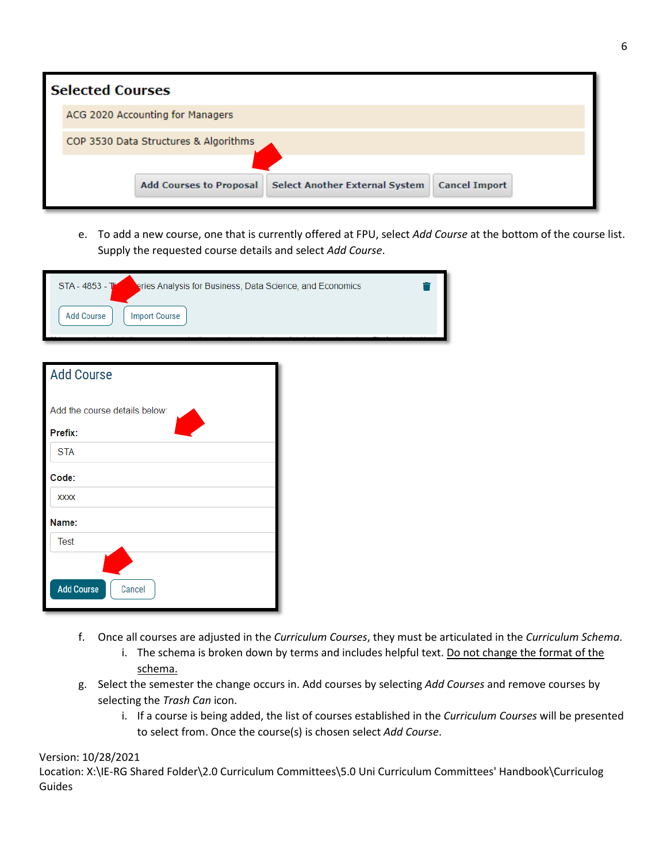| <b>Selected Courses</b>               |                                  |                                       |                      |  |  |
|---------------------------------------|----------------------------------|---------------------------------------|----------------------|--|--|
|                                       | ACG 2020 Accounting for Managers |                                       |                      |  |  |
| COP 3530 Data Structures & Algorithms |                                  |                                       |                      |  |  |
|                                       |                                  |                                       |                      |  |  |
|                                       | <b>Add Courses to Proposal</b>   | <b>Select Another External System</b> | <b>Cancel Import</b> |  |  |

e. To add a new course, one that is currently offered at FPU, select *Add Course* at the bottom of the course list. Supply the requested course details and select *Add Course*.

| STA - 4853 - T<br>eries Analysis for Business, Data Science, and Economics |  |
|----------------------------------------------------------------------------|--|
| <b>Import Course</b><br>Add Course                                         |  |
|                                                                            |  |

| <b>Add Course</b>                        |  |  |  |  |
|------------------------------------------|--|--|--|--|
| Add the course details below:<br>Prefix: |  |  |  |  |
| <b>STA</b>                               |  |  |  |  |
| Code:                                    |  |  |  |  |
| <b>XXXX</b>                              |  |  |  |  |
| Name:                                    |  |  |  |  |
| <b>Test</b>                              |  |  |  |  |
|                                          |  |  |  |  |
| <b>Add Course</b><br>Cancel              |  |  |  |  |

- f. Once all courses are adjusted in the *Curriculum Courses*, they must be articulated in the *Curriculum Schema*.
	- i. The schema is broken down by terms and includes helpful text. Do not change the format of the schema.
- g. Select the semester the change occurs in. Add courses by selecting *Add Courses* and remove courses by selecting the *Trash Can* icon.
	- i. If a course is being added, the list of courses established in the *Curriculum Courses* will be presented to select from. Once the course(s) is chosen select *Add Course*.

#### Version: 10/28/2021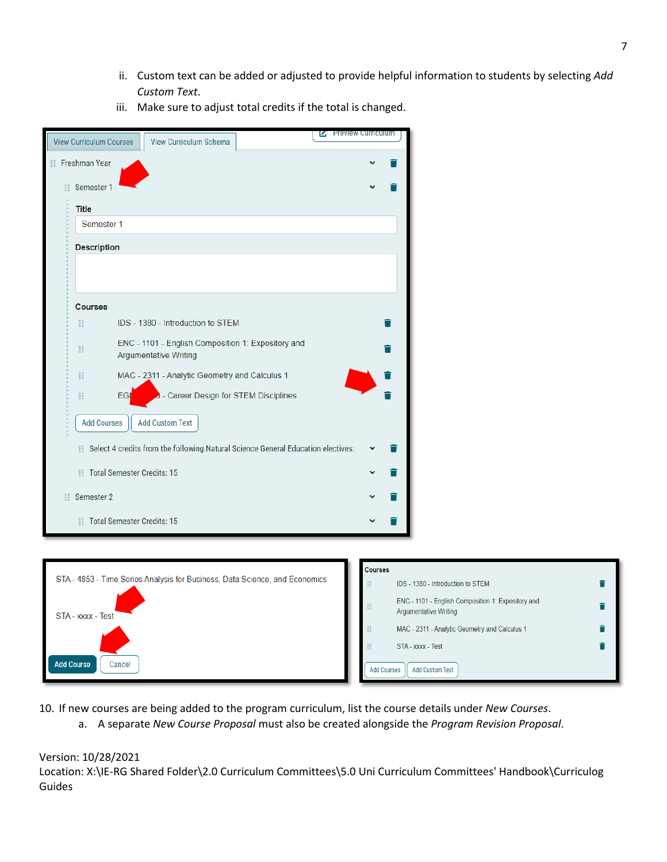ii. Custom text can be added or adjusted to provide helpful information to students by selecting *Add Custom Text*.

|    | <b>IZ Preview Curriculum</b><br><b>View Curriculum Courses</b><br><b>View Curriculum Schema</b> |  |
|----|-------------------------------------------------------------------------------------------------|--|
| ∷  | Freshman Year                                                                                   |  |
|    | Semester 1                                                                                      |  |
|    | <b>Title</b>                                                                                    |  |
|    | Semester 1                                                                                      |  |
|    | <b>Description</b>                                                                              |  |
|    |                                                                                                 |  |
|    |                                                                                                 |  |
|    | <b>Courses</b>                                                                                  |  |
| H  | IDS - 1380 - Introduction to STEM                                                               |  |
| H  | ENC - 1101 - English Composition 1: Expository and<br><b>Argumentative Writing</b>              |  |
| m  | MAC - 2311 - Analytic Geometry and Calculus 1                                                   |  |
| H  | - Career Design for STEM Disciplines<br>EGI                                                     |  |
|    | <b>Add Courses</b><br><b>Add Custom Text</b>                                                    |  |
| Ħ. | Select 4 credits from the following Natural Science General Education electives:                |  |
| m  | <b>Total Semester Credits: 15</b>                                                               |  |
| 88 | Semester 2                                                                                      |  |
|    | Total Semester Credits: 15                                                                      |  |
|    |                                                                                                 |  |

iii. Make sure to adjust total credits if the total is changed.



10. If new courses are being added to the program curriculum, list the course details under *New Courses*.

a. A separate *New Course Proposal* must also be created alongside the *Program Revision Proposal*.

#### Version: 10/28/2021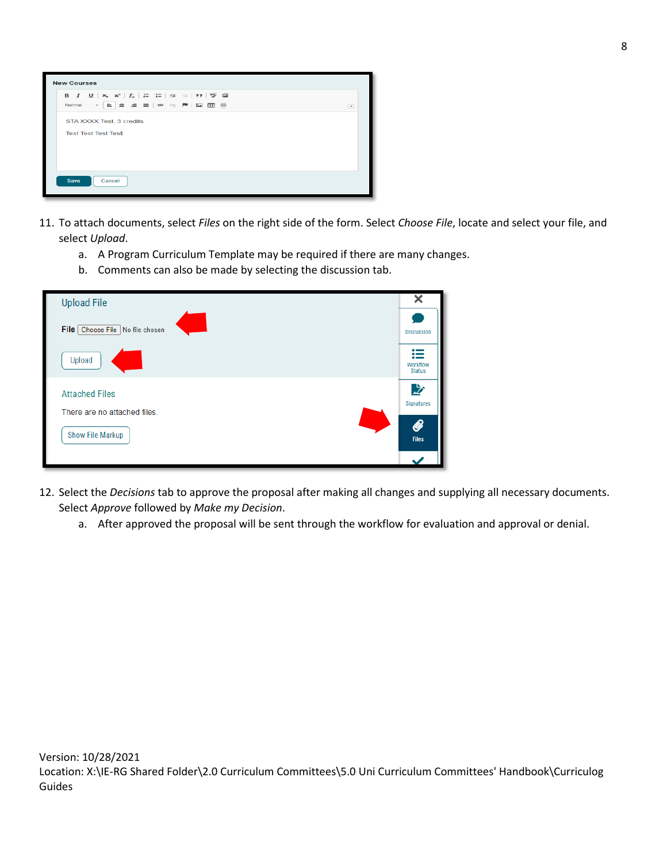

- 11. To attach documents, select *Files* on the right side of the form. Select *Choose File*, locate and select your file, and select *Upload*.
	- a. A Program Curriculum Template may be required if there are many changes.
	- b. Comments can also be made by selecting the discussion tab.

| <b>Upload File</b>                   | x                              |
|--------------------------------------|--------------------------------|
| File   Choose File<br>No file chosen | <b>Discussion</b>              |
| Upload                               | 這<br>Workflow<br><b>Status</b> |
| <b>Attached Files</b>                | 兦<br>Signatures                |
| There are no attached files.         |                                |
| Show File Markup                     | <b>B</b><br><b>Files</b>       |
|                                      |                                |

- 12. Select the *Decisions* tab to approve the proposal after making all changes and supplying all necessary documents. Select *Approve* followed by *Make my Decision*.
	- a. After approved the proposal will be sent through the workflow for evaluation and approval or denial.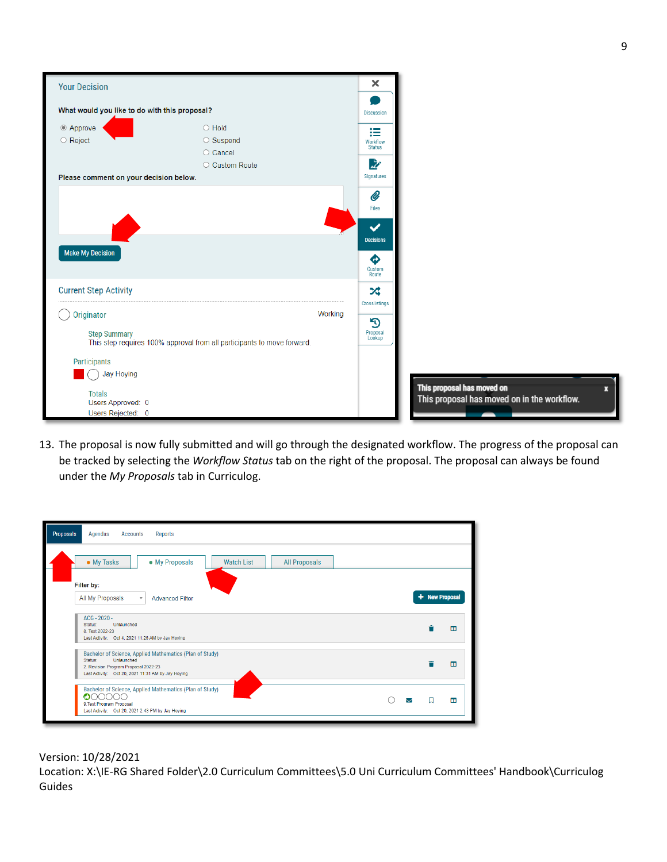| <b>Your Decision</b>                                    |                                                                         |         | ×                                |
|---------------------------------------------------------|-------------------------------------------------------------------------|---------|----------------------------------|
| What would you like to do with this proposal?           |                                                                         |         | <b>Discussion</b>                |
| © Approve<br>○ Reject                                   | $\bigcirc$ Hold<br>$\circ$ Suspend<br>○ Cancel                          |         | 這<br>Workflow<br><b>Status</b>   |
| Please comment on your decision below.                  | ○ Custom Route                                                          |         | 必<br>Signatures                  |
|                                                         |                                                                         |         | Ø<br>Files                       |
|                                                         |                                                                         |         | $\checkmark$<br><b>Decisions</b> |
| <b>Make My Decision</b>                                 |                                                                         |         | ♦<br>Custom<br>Route             |
| <b>Current Step Activity</b>                            |                                                                         |         | ぷ<br>Crosslistings               |
| <b>Originator</b>                                       |                                                                         | Working | $\mathfrak{D}$                   |
| <b>Step Summary</b>                                     | This step requires 100% approval from all participants to move forward. |         | Proposal<br>Lookup               |
| Participants<br><b>Jay Hoying</b>                       |                                                                         |         |                                  |
| <b>Totals</b><br>Users Approved: 0<br>Users Rejected: 0 |                                                                         |         |                                  |

13. The proposal is now fully submitted and will go through the designated workflow. The progress of the proposal can be tracked by selecting the *Workflow Status* tab on the right of the proposal. The proposal can always be found under the *My Proposals* tab in Curriculog.

| Proposals<br>Agendas<br>Accounts<br>Reports                                                                                                                                     |  |  |                |                |  |
|---------------------------------------------------------------------------------------------------------------------------------------------------------------------------------|--|--|----------------|----------------|--|
| • My Proposals<br>• My Tasks<br><b>Watch List</b><br><b>All Proposals</b>                                                                                                       |  |  |                |                |  |
| Filter by:<br>All My Proposals<br><b>Advanced Filter</b><br>$\overline{\mathbf v}$                                                                                              |  |  | + New Proposal |                |  |
| ACG - 2020 -<br>Unlaunched<br>Status:<br>8. Test 2022-23<br>Last Activity: Oct 4, 2021 11:26 AM by Jay Hoying                                                                   |  |  |                | ш              |  |
| Bachelor of Science, Applied Mathematics (Plan of Study)<br>Status:<br>Unlaunched<br>2. Revision Program Proposal 2022-23<br>Last Activity: Oct 20, 2021 11:31 AM by Jay Hoying |  |  |                | ш              |  |
| Bachelor of Science, Applied Mathematics (Plan of Study)<br>o<br>9. Test Program Proposal<br>Last Activity: Oct 20, 2021 2:43 PM by Jay Hoying                                  |  |  |                | $\blacksquare$ |  |

Version: 10/28/2021